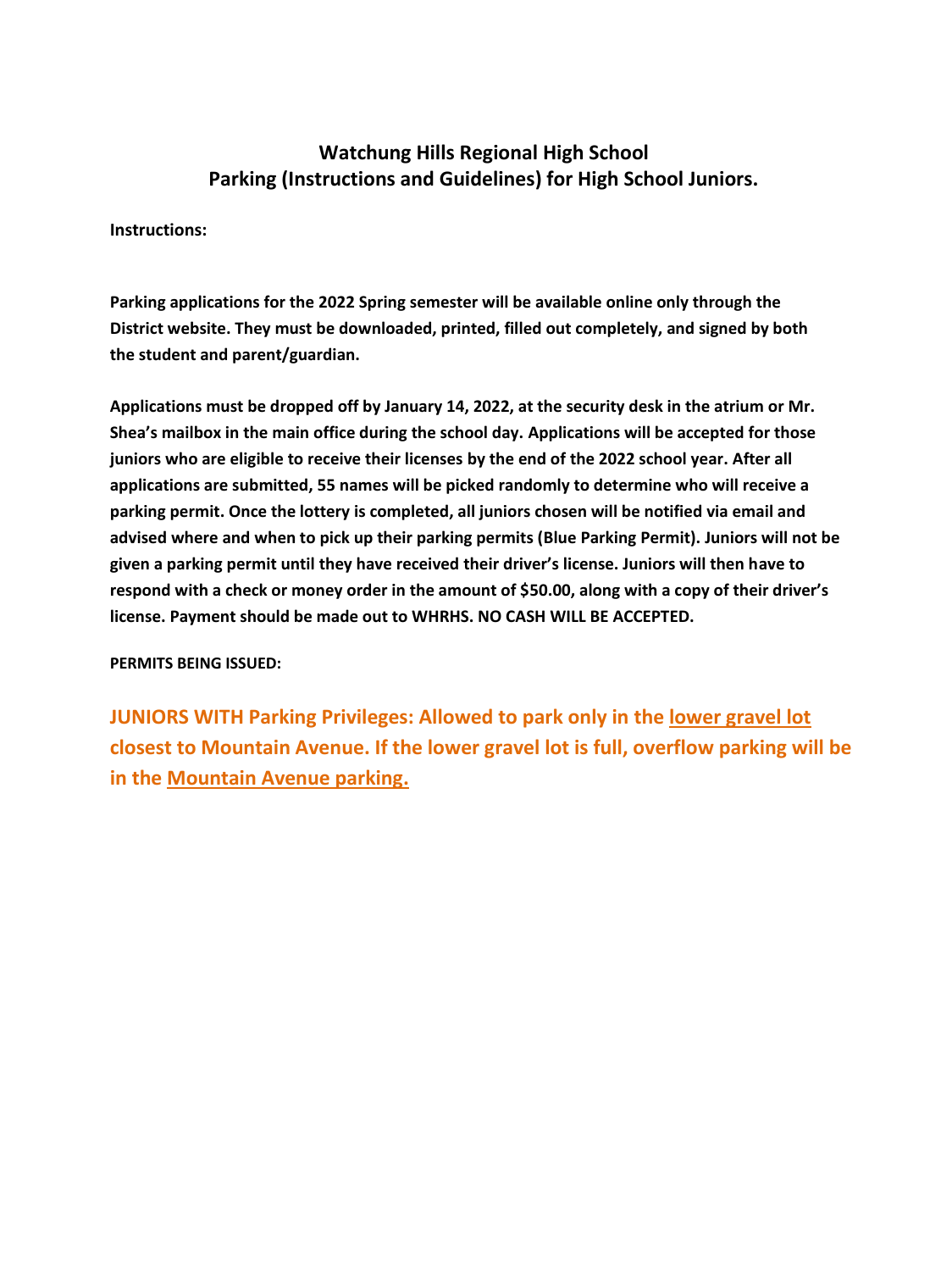## **Watchung Hills Regional High School Parking (Instructions and Guidelines) for High School Juniors.**

#### **Instructions:**

**Parking applications for the 2022 Spring semester will be available online only through the District website. They must be downloaded, printed, filled out completely, and signed by both the student and parent/guardian.** 

**Applications must be dropped off by January 14, 2022, at the security desk in the atrium or Mr. Shea's mailbox in the main office during the school day. Applications will be accepted for those juniors who are eligible to receive their licenses by the end of the 2022 school year. After all applications are submitted, 55 names will be picked randomly to determine who will receive a parking permit. Once the lottery is completed, all juniors chosen will be notified via email and advised where and when to pick up their parking permits (Blue Parking Permit). Juniors will not be given a parking permit until they have received their driver's license. Juniors will then have to respond with a check or money order in the amount of \$50.00, along with a copy of their driver's license. Payment should be made out to WHRHS. NO CASH WILL BE ACCEPTED.** 

#### **PERMITS BEING ISSUED:**

**JUNIORS WITH Parking Privileges: Allowed to park only in the lower gravel lot closest to Mountain Avenue. If the lower gravel lot is full, overflow parking will be in the Mountain Avenue parking.**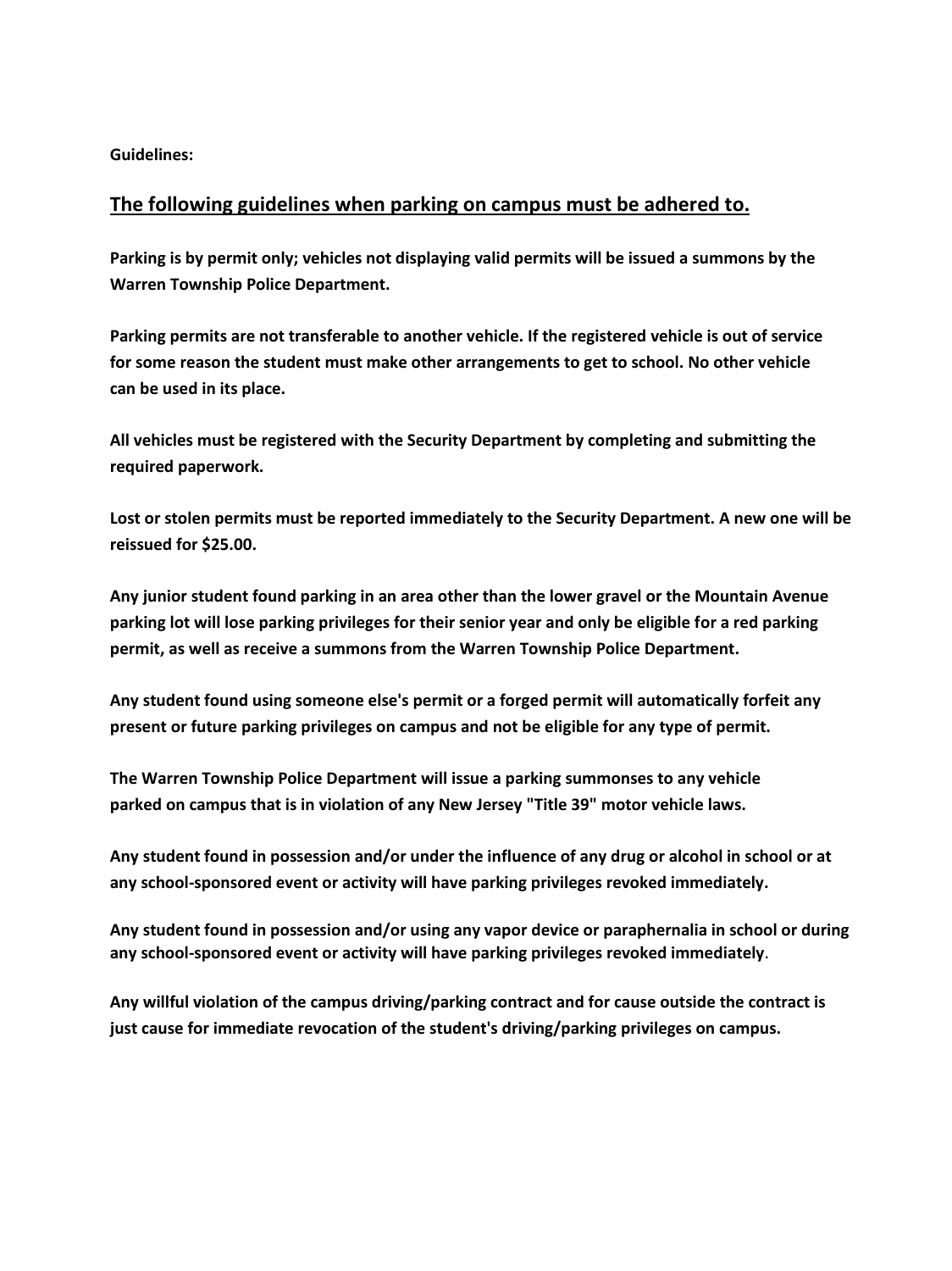**Guidelines:** 

### **The following guidelines when parking on campus must be adhered to.**

**Parking is by permit only; vehicles not displaying valid permits will be issued a summons by the Warren Township Police Department.** 

**Parking permits are not transferable to another vehicle. If the registered vehicle is out of service for some reason the student must make other arrangements to get to school. No other vehicle can be used in its place.** 

**All vehicles must be registered with the Security Department by completing and submitting the required paperwork.** 

**Lost or stolen permits must be reported immediately to the Security Department. A new one will be reissued for \$25.00.** 

**Any junior student found parking in an area other than the lower gravel or the Mountain Avenue parking lot will lose parking privileges for their senior year and only be eligible for a red parking permit, as well as receive a summons from the Warren Township Police Department.** 

**Any student found using someone else's permit or a forged permit will automatically forfeit any present or future parking privileges on campus and not be eligible for any type of permit.** 

**The Warren Township Police Department will issue a parking summonses to any vehicle parked on campus that is in violation of any New Jersey "Title 39" motor vehicle laws.** 

**Any student found in possession and/or under the influence of any drug or alcohol in school or at any school-sponsored event or activity will have parking privileges revoked immediately.** 

**Any student found in possession and/or using any vapor device or paraphernalia in school or during any school-sponsored event or activity will have parking privileges revoked immediately**.

**Any willful violation of the campus driving/parking contract and for cause outside the contract is just cause for immediate revocation of the student's driving/parking privileges on campus.**